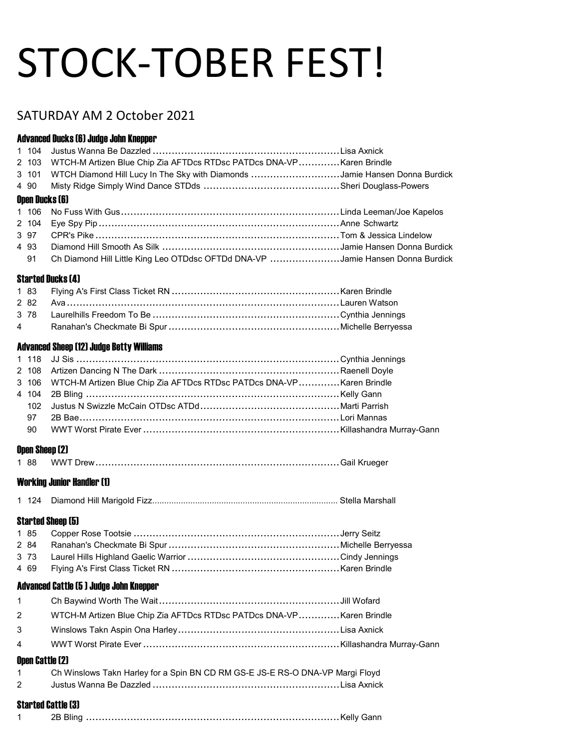# STOCK-TOBER FEST!

# SATURDAY AM 2 October 2021

#### Advanced Ducks (6) Judge John Knepper

|                | 2 103 WTCH-M Artizen Blue Chip Zia AFTDcs RTDsc PATDcs DNA-VPKaren Brindle       |  |
|----------------|----------------------------------------------------------------------------------|--|
|                | 3 101 WTCH Diamond Hill Lucy In The Sky with Diamonds Jamie Hansen Donna Burdick |  |
|                |                                                                                  |  |
| Open Ducks [6] |                                                                                  |  |
|                |                                                                                  |  |
|                |                                                                                  |  |
| 3 97           |                                                                                  |  |
| 4 9 3          | Diamond Hill Smooth As Silk ……………………………………………………Jamie Hansen Donna Burdick       |  |
| 91             | Ch Diamond Hill Little King Leo OTDdsc OFTDd DNA-VP Jamie Hansen Donna Burdick   |  |

#### Started Ducks (4)

#### Advanced Sheep (12) Judge Betty Williams

|    | 3 106 WTCH-M Artizen Blue Chip Zia AFTDcs RTDsc PATDcs DNA-VPKaren Brindle |  |
|----|----------------------------------------------------------------------------|--|
|    |                                                                            |  |
|    |                                                                            |  |
| 97 |                                                                            |  |
|    |                                                                            |  |
|    |                                                                            |  |

#### Open Sheep (2)

|--|--|--|--|

#### Working Junior Handler (1)

|--|--|--|--|

# Started Sheep (5)

#### Advanced Cattle (5 ) Judge John Knepper

| 2 WTCH-M Artizen Blue Chip Zia AFTDcs RTDsc PATDcs DNA-VPKaren Brindle |  |
|------------------------------------------------------------------------|--|
|                                                                        |  |
|                                                                        |  |
|                                                                        |  |

#### Open Cattle (2)

| Ch Winslows Takn Harley for a Spin BN CD RM GS-E JS-E RS-O DNA-VP Margi Floyd |
|-------------------------------------------------------------------------------|
|                                                                               |

#### Started Cattle (3)

|--|--|--|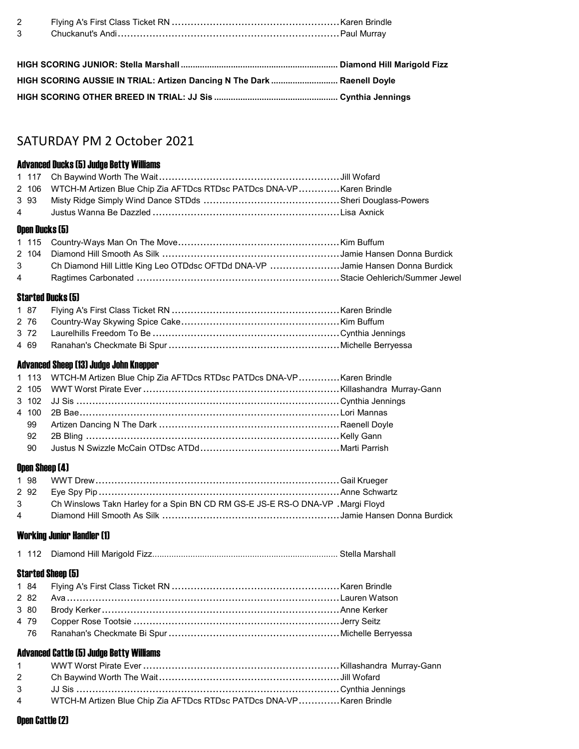| HIGH SCORING AUSSIE IN TRIAL: Artizen Dancing N The Dark  Raenell Doyle |  |
|-------------------------------------------------------------------------|--|
|                                                                         |  |

# SATURDAY PM 2 October 2021

# Advanced Ducks (5) Judge Betty Williams

|  | 2 106 WTCH-M Artizen Blue Chip Zia AFTDcs RTDsc PATDcs DNA-VPKaren Brindle       |  |
|--|----------------------------------------------------------------------------------|--|
|  |                                                                                  |  |
|  |                                                                                  |  |
|  | Open Ducks (5)                                                                   |  |
|  |                                                                                  |  |
|  |                                                                                  |  |
|  | 3 Ch Diamond Hill Little King Leo OTDdsc OFTDd DNA-VP Jamie Hansen Donna Burdick |  |

Ragtimes Carbonated ................................................................ Stacie Oehlerich/Summer Jewel

#### Started Ducks (5)

#### Advanced Sheep (13) Judge John Knepper

|  | 1 113 WTCH-M Artizen Blue Chip Zia AFTDcs RTDsc PATDcs DNA-VPKaren Brindle |  |
|--|----------------------------------------------------------------------------|--|
|  |                                                                            |  |
|  |                                                                            |  |
|  |                                                                            |  |
|  |                                                                            |  |
|  |                                                                            |  |
|  |                                                                            |  |

#### Open Sheep (4)

|  | 3 Ch Winslows Takn Harley for a Spin BN CD RM GS-E JS-E RS-O DNA-VP. Margi Floyd |  |
|--|----------------------------------------------------------------------------------|--|
|  |                                                                                  |  |

#### Working Junior Handler (1)

|--|--|--|

# Started Sheep (5)

# Advanced Cattle (5) Judge Betty Williams

| $1 \quad \blacksquare$ |                                                                        |  |
|------------------------|------------------------------------------------------------------------|--|
|                        |                                                                        |  |
|                        |                                                                        |  |
|                        | 4 WTCH-M Artizen Blue Chip Zia AFTDcs RTDsc PATDcs DNA-VPKaren Brindle |  |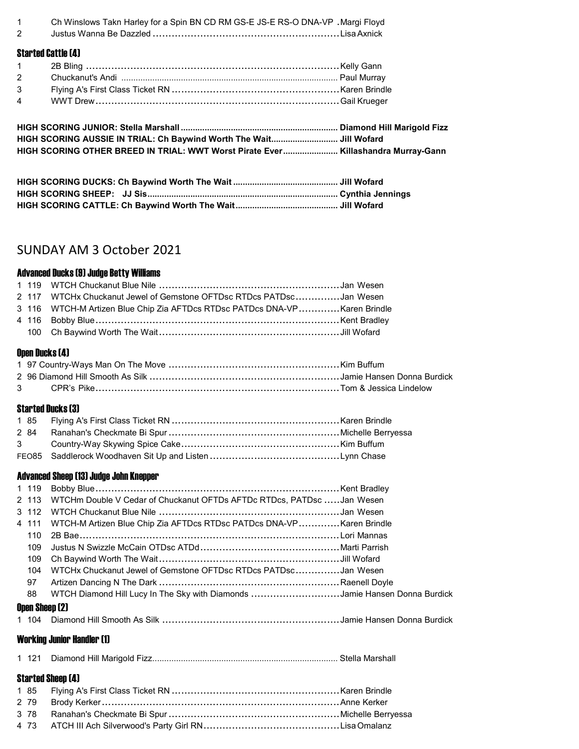Ch Winslows Takn Harley for a Spin BN CD RM GS-E JS-E RS-O DNA-VP . Margi Floyd

Justus Wanna Be Dazzled ........................................................... LisaAxnick

#### Started Cattle (4)

| HIGH SCORING AUSSIE IN TRIAL: Ch Baywind Worth The Wait Jill Wofard               |  |
|-----------------------------------------------------------------------------------|--|
| HIGH SCORING OTHER BREED IN TRIAL: WWT Worst Pirate Ever Killashandra Murray-Gann |  |

# SUNDAY AM 3 October 2021

#### Advanced Ducks (9) Judge Betty Williams

|  | 2 117 WTCHx Chuckanut Jewel of Gemstone OFTDsc RTDcs PATDscJan Wesen       |  |
|--|----------------------------------------------------------------------------|--|
|  | 3 116 WTCH-M Artizen Blue Chip Zia AFTDcs RTDsc PATDcs DNA-VPKaren Brindle |  |
|  |                                                                            |  |
|  |                                                                            |  |

#### Open Ducks (4)

#### Started Ducks (3)

#### Advanced Sheep (13) Judge John Knepper

|                | 2 113 WTCHm Double V Cedar of Chuckanut OFTDs AFTDc RTDcs, PATDsc Jan Wesen |                             |
|----------------|-----------------------------------------------------------------------------|-----------------------------|
|                |                                                                             |                             |
|                | 4 111 WTCH-M Artizen Blue Chip Zia AFTDcs RTDsc PATDcs DNA-VPKaren Brindle  |                             |
| 110            |                                                                             |                             |
| 109            |                                                                             |                             |
| 109            | Ch Baywind Worth The Wait……………………………………………………………Jill Wofard                 |                             |
| 104            | WTCHx Chuckanut Jewel of Gemstone OFTDsc RTDcs PATDscJan Wesen              |                             |
| 97             |                                                                             |                             |
| 88             | WTCH Diamond Hill Lucy In The Sky with Diamonds Jamie Hansen Donna Burdick  |                             |
| Open Sheep (2) |                                                                             |                             |
|                | $\triangle$ 404 Dispersed Hill Cossation As Cille                           | tanain Hamaan Danna Dundiak |

### 104 Diamond Hill Smooth As Silk ........................................................ Jamie Hansen Donna Burdick

#### Working Junior Handler (1)

|--|--|--|

#### Started Sheep (4)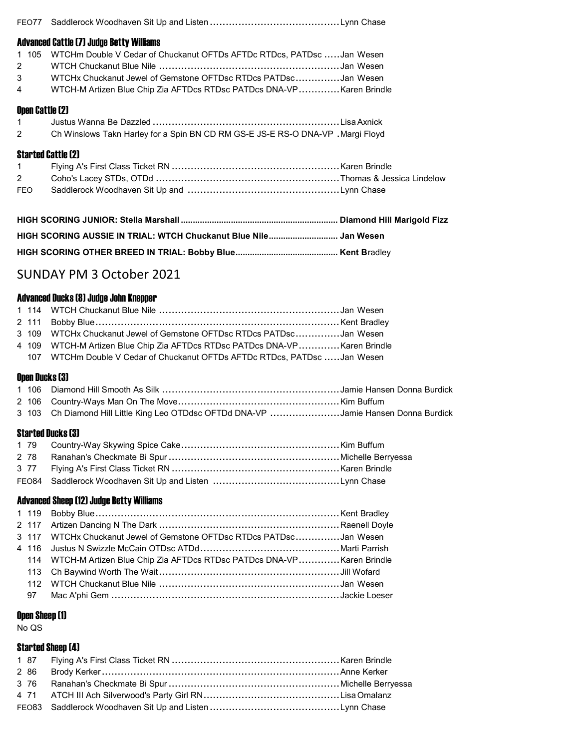| 1 105<br>2<br>3<br>4                  | Advanced Cattle (7) Judge Betty Williams<br>WTCHm Double V Cedar of Chuckanut OFTDs AFTDc RTDcs, PATDsc Jan Wesen<br>WTCHx Chuckanut Jewel of Gemstone OFTDsc RTDcs PATDscJan Wesen<br>WTCH-M Artizen Blue Chip Zia AFTDcs RTDsc PATDcs DNA-VPKaren Brindle |  |  |
|---------------------------------------|-------------------------------------------------------------------------------------------------------------------------------------------------------------------------------------------------------------------------------------------------------------|--|--|
| Open Cattle (2)<br>1<br>$\mathcal{P}$ | Ch Winslows Takn Harley for a Spin BN CD RM GS-E JS-E RS-O DNA-VP . Margi Floyd                                                                                                                                                                             |  |  |
| $\mathcal{P}$<br><b>FEO</b>           | <b>Started Cattle [2]</b>                                                                                                                                                                                                                                   |  |  |
|                                       |                                                                                                                                                                                                                                                             |  |  |

# HIGH SCORING OTHER BREED IN TRIAL: Bobby Blue ........................................... Kent Bradley

# SUNDAY PM 3 October 2021

#### Advanced Ducks (8) Judge John Knepper

|  | 3 109 WTCHx Chuckanut Jewel of Gemstone OFTDsc RTDcs PATDscJan Wesen       |  |
|--|----------------------------------------------------------------------------|--|
|  | 4 109 WTCH-M Artizen Blue Chip Zia AFTDcs RTDsc PATDcs DNA-VPKaren Brindle |  |
|  | 107 WTCHm Double V Cedar of Chuckanut OFTDs AFTDc RTDcs, PATDsc Jan Wesen  |  |

# Open Ducks (3)

3 103 Ch Diamond Hill Little King Leo OTDdsc OFTDd DNA-VP .....................Jamie Hansen Donna Burdick

### Started Ducks (3)

# Advanced Sheep (12) Judge Betty Williams

|  | 3 117 WTCHx Chuckanut Jewel of Gemstone OFTDsc RTDcs PATDscJan Wesen     |  |
|--|--------------------------------------------------------------------------|--|
|  |                                                                          |  |
|  | 114 WTCH-M Artizen Blue Chip Zia AFTDcs RTDsc PATDcs DNA-VPKaren Brindle |  |
|  |                                                                          |  |
|  |                                                                          |  |
|  |                                                                          |  |
|  |                                                                          |  |

#### Open Sheep (1)

No QS

#### Started Sheep (4)